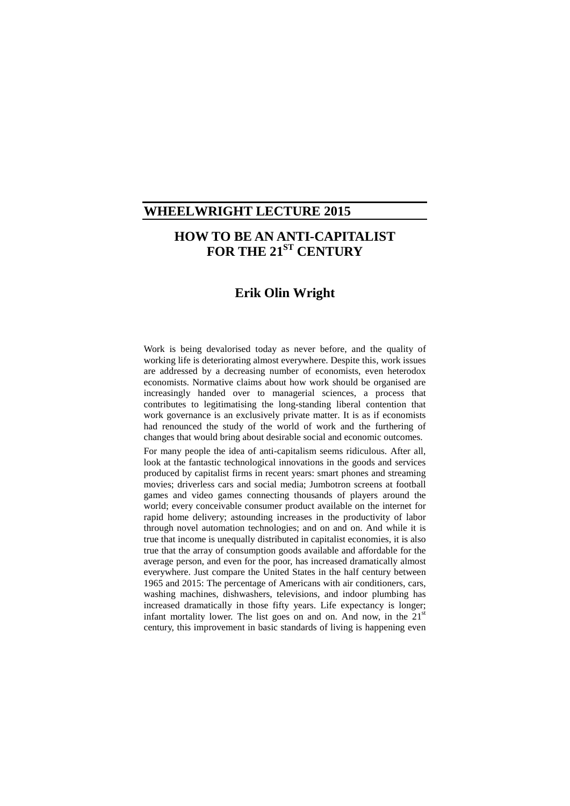# **WHEELWRIGHT LECTURE 2015**

# **HOW TO BE AN ANTI-CAPITALIST FOR THE 21ST CENTURY**

# **Erik Olin Wright**

Work is being devalorised today as never before, and the quality of working life is deteriorating almost everywhere. Despite this, work issues are addressed by a decreasing number of economists, even heterodox economists. Normative claims about how work should be organised are increasingly handed over to managerial sciences, a process that contributes to legitimatising the long-standing liberal contention that work governance is an exclusively private matter. It is as if economists had renounced the study of the world of work and the furthering of changes that would bring about desirable social and economic outcomes.

For many people the idea of anti-capitalism seems ridiculous. After all, look at the fantastic technological innovations in the goods and services produced by capitalist firms in recent years: smart phones and streaming movies; driverless cars and social media; Jumbotron screens at football games and video games connecting thousands of players around the world; every conceivable consumer product available on the internet for rapid home delivery; astounding increases in the productivity of labor through novel automation technologies; and on and on. And while it is true that income is unequally distributed in capitalist economies, it is also true that the array of consumption goods available and affordable for the average person, and even for the poor, has increased dramatically almost everywhere. Just compare the United States in the half century between 1965 and 2015: The percentage of Americans with air conditioners, cars, washing machines, dishwashers, televisions, and indoor plumbing has increased dramatically in those fifty years. Life expectancy is longer; infant mortality lower. The list goes on and on. And now, in the  $21<sup>st</sup>$ century, this improvement in basic standards of living is happening even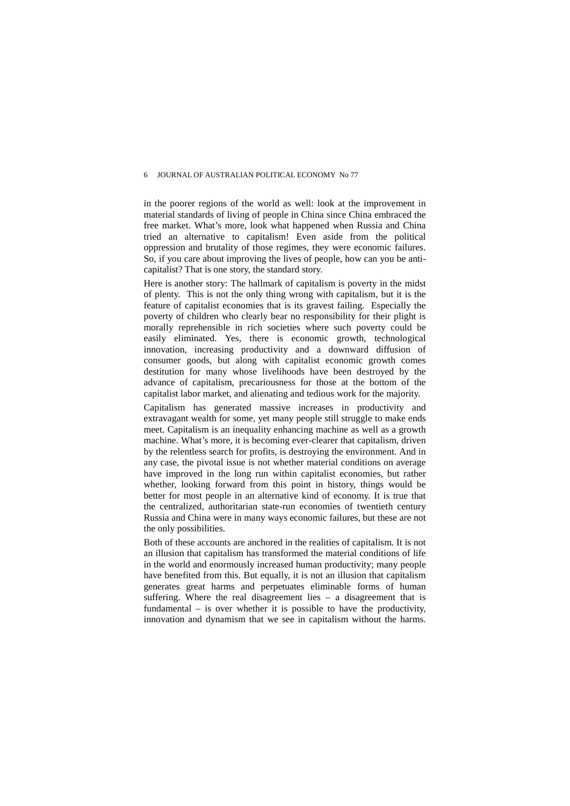in the poorer regions of the world as well: look at the improvement in material standards of living of people in China since China embraced the free market. What's more, look what happened when Russia and China tried an alternative to capitalism! Even aside from the political oppression and brutality of those regimes, they were economic failures. So, if you care about improving the lives of people, how can you be anticapitalist? That is one story, the standard story.

Here is another story: The hallmark of capitalism is poverty in the midst of plenty. This is not the only thing wrong with capitalism, but it is the feature of capitalist economies that is its gravest failing. Especially the poverty of children who clearly bear no responsibility for their plight is morally reprehensible in rich societies where such poverty could be easily eliminated. Yes, there is economic growth, technological innovation, increasing productivity and a downward diffusion of consumer goods, but along with capitalist economic growth comes destitution for many whose livelihoods have been destroyed by the advance of capitalism, precariousness for those at the bottom of the capitalist labor market, and alienating and tedious work for the majority.

Capitalism has generated massive increases in productivity and extravagant wealth for some, yet many people still struggle to make ends meet. Capitalism is an inequality enhancing machine as well as a growth machine. What's more, it is becoming ever-clearer that capitalism, driven by the relentless search for profits, is destroying the environment. And in any case, the pivotal issue is not whether material conditions on average have improved in the long run within capitalist economies, but rather whether, looking forward from this point in history, things would be better for most people in an alternative kind of economy. It is true that the centralized, authoritarian state-run economies of twentieth century Russia and China were in many ways economic failures, but these are not the only possibilities.

Both of these accounts are anchored in the realities of capitalism. It is not an illusion that capitalism has transformed the material conditions of life in the world and enormously increased human productivity; many people have benefited from this. But equally, it is not an illusion that capitalism generates great harms and perpetuates eliminable forms of human suffering. Where the real disagreement lies – a disagreement that is fundamental – is over whether it is possible to have the productivity, innovation and dynamism that we see in capitalism without the harms.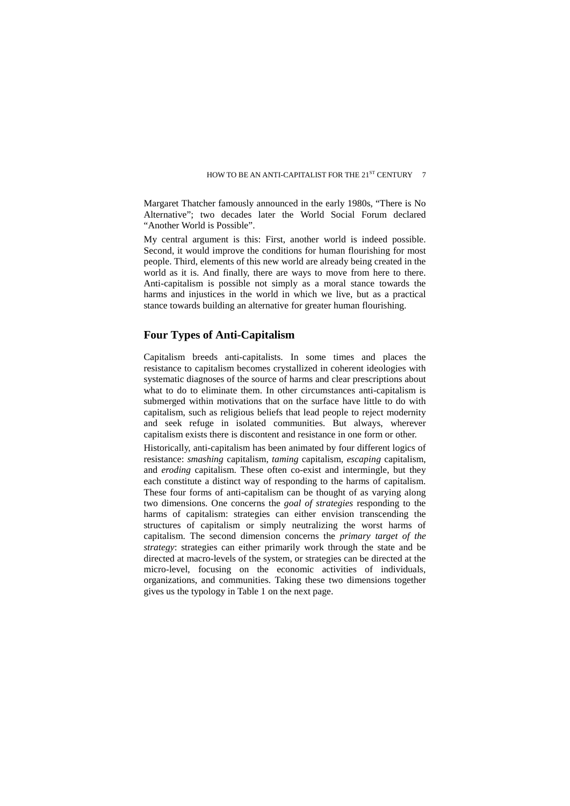Margaret Thatcher famously announced in the early 1980s, "There is No Alternative"; two decades later the World Social Forum declared "Another World is Possible".

My central argument is this: First, another world is indeed possible. Second, it would improve the conditions for human flourishing for most people. Third, elements of this new world are already being created in the world as it is. And finally, there are ways to move from here to there. Anti-capitalism is possible not simply as a moral stance towards the harms and injustices in the world in which we live, but as a practical stance towards building an alternative for greater human flourishing.

# **Four Types of Anti-Capitalism**

Capitalism breeds anti-capitalists. In some times and places the resistance to capitalism becomes crystallized in coherent ideologies with systematic diagnoses of the source of harms and clear prescriptions about what to do to eliminate them. In other circumstances anti-capitalism is submerged within motivations that on the surface have little to do with capitalism, such as religious beliefs that lead people to reject modernity and seek refuge in isolated communities. But always, wherever capitalism exists there is discontent and resistance in one form or other.

Historically, anti-capitalism has been animated by four different logics of resistance: *smashing* capitalism, *taming* capitalism, *escaping* capitalism, and *eroding* capitalism. These often co-exist and intermingle, but they each constitute a distinct way of responding to the harms of capitalism. These four forms of anti-capitalism can be thought of as varying along two dimensions. One concerns the *goal of strategies* responding to the harms of capitalism: strategies can either envision transcending the structures of capitalism or simply neutralizing the worst harms of capitalism. The second dimension concerns the *primary target of the strategy*: strategies can either primarily work through the state and be directed at macro-levels of the system, or strategies can be directed at the micro-level, focusing on the economic activities of individuals, organizations, and communities. Taking these two dimensions together gives us the typology in Table 1 on the next page.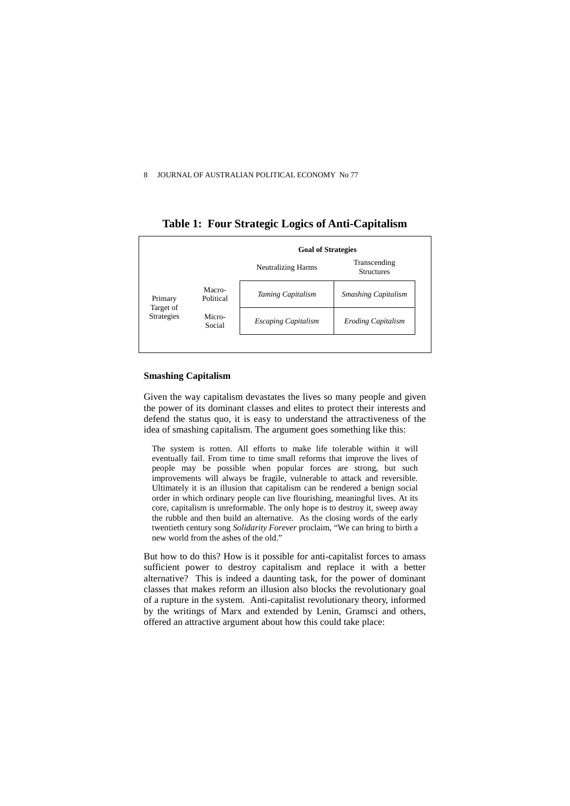|                                           |                     | <b>Goal of Strategies</b>  |                                   |
|-------------------------------------------|---------------------|----------------------------|-----------------------------------|
|                                           |                     | <b>Neutralizing Harms</b>  | Transcending<br><b>Structures</b> |
| Primary<br>Target of<br><b>Strategies</b> | Macro-<br>Political | Taming Capitalism          | <b>Smashing Capitalism</b>        |
|                                           | Micro-<br>Social    | <b>Escaping Capitalism</b> | <b>Eroding Capitalism</b>         |

# **Table 1: Four Strategic Logics of Anti-Capitalism**

#### **Smashing Capitalism**

Given the way capitalism devastates the lives so many people and given the power of its dominant classes and elites to protect their interests and defend the status quo, it is easy to understand the attractiveness of the idea of smashing capitalism. The argument goes something like this:

The system is rotten. All efforts to make life tolerable within it will eventually fail. From time to time small reforms that improve the lives of people may be possible when popular forces are strong, but such improvements will always be fragile, vulnerable to attack and reversible. Ultimately it is an illusion that capitalism can be rendered a benign social order in which ordinary people can live flourishing, meaningful lives. At its core, capitalism is unreformable. The only hope is to destroy it, sweep away the rubble and then build an alternative. As the closing words of the early twentieth century song *Solidarity Forever* proclaim, "We can bring to birth a new world from the ashes of the old."

But how to do this? How is it possible for anti-capitalist forces to amass sufficient power to destroy capitalism and replace it with a better alternative? This is indeed a daunting task, for the power of dominant classes that makes reform an illusion also blocks the revolutionary goal of a rupture in the system. Anti-capitalist revolutionary theory, informed by the writings of Marx and extended by Lenin, Gramsci and others, offered an attractive argument about how this could take place: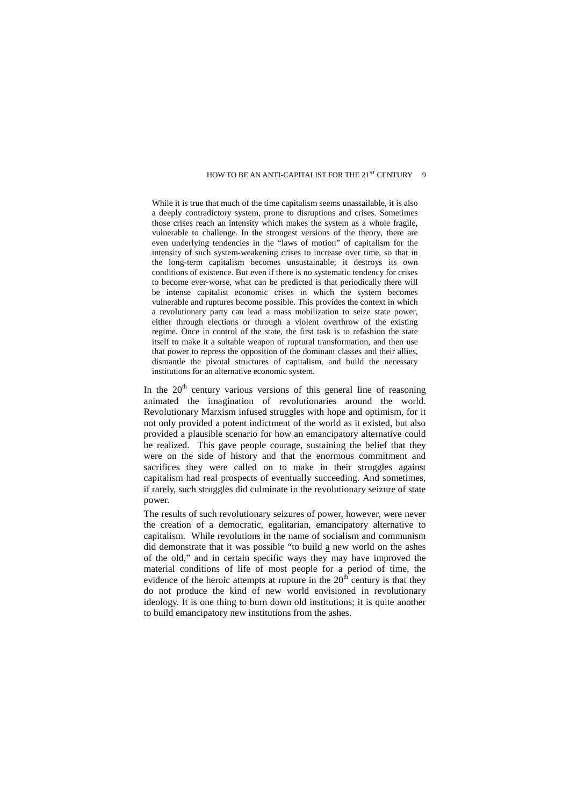While it is true that much of the time capitalism seems unassailable, it is also a deeply contradictory system, prone to disruptions and crises. Sometimes those crises reach an intensity which makes the system as a whole fragile, vulnerable to challenge. In the strongest versions of the theory, there are even underlying tendencies in the "laws of motion" of capitalism for the intensity of such system-weakening crises to increase over time, so that in the long-term capitalism becomes unsustainable; it destroys its own conditions of existence. But even if there is no systematic tendency for crises to become ever-worse, what can be predicted is that periodically there will be intense capitalist economic crises in which the system becomes vulnerable and ruptures become possible. This provides the context in which a revolutionary party can lead a mass mobilization to seize state power, either through elections or through a violent overthrow of the existing regime. Once in control of the state, the first task is to refashion the state itself to make it a suitable weapon of ruptural transformation, and then use that power to repress the opposition of the dominant classes and their allies, dismantle the pivotal structures of capitalism, and build the necessary institutions for an alternative economic system.

In the  $20<sup>th</sup>$  century various versions of this general line of reasoning animated the imagination of revolutionaries around the world. Revolutionary Marxism infused struggles with hope and optimism, for it not only provided a potent indictment of the world as it existed, but also provided a plausible scenario for how an emancipatory alternative could be realized. This gave people courage, sustaining the belief that they were on the side of history and that the enormous commitment and sacrifices they were called on to make in their struggles against capitalism had real prospects of eventually succeeding. And sometimes, if rarely, such struggles did culminate in the revolutionary seizure of state power.

The results of such revolutionary seizures of power, however, were never the creation of a democratic, egalitarian, emancipatory alternative to capitalism. While revolutions in the name of socialism and communism did demonstrate that it was possible "to build a new world on the ashes of the old," and in certain specific ways they may have improved the material conditions of life of most people for a period of time, the evidence of the heroic attempts at rupture in the  $20<sup>th</sup>$  century is that they do not produce the kind of new world envisioned in revolutionary ideology. It is one thing to burn down old institutions; it is quite another to build emancipatory new institutions from the ashes.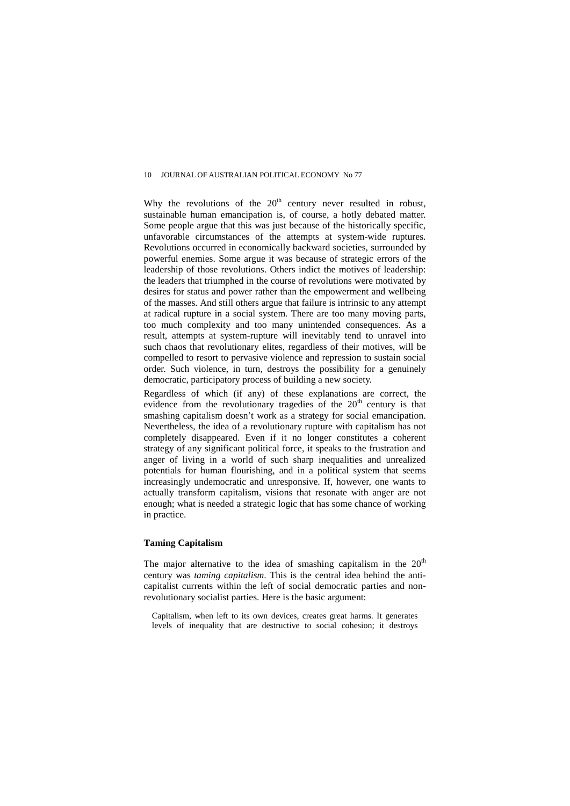Why the revolutions of the  $20<sup>th</sup>$  century never resulted in robust, sustainable human emancipation is, of course, a hotly debated matter. Some people argue that this was just because of the historically specific, unfavorable circumstances of the attempts at system-wide ruptures. Revolutions occurred in economically backward societies, surrounded by powerful enemies. Some argue it was because of strategic errors of the leadership of those revolutions. Others indict the motives of leadership: the leaders that triumphed in the course of revolutions were motivated by desires for status and power rather than the empowerment and wellbeing of the masses. And still others argue that failure is intrinsic to any attempt at radical rupture in a social system. There are too many moving parts, too much complexity and too many unintended consequences. As a result, attempts at system-rupture will inevitably tend to unravel into such chaos that revolutionary elites, regardless of their motives, will be compelled to resort to pervasive violence and repression to sustain social order. Such violence, in turn, destroys the possibility for a genuinely democratic, participatory process of building a new society.

Regardless of which (if any) of these explanations are correct, the evidence from the revolutionary tragedies of the  $20<sup>th</sup>$  century is that smashing capitalism doesn't work as a strategy for social emancipation. Nevertheless, the idea of a revolutionary rupture with capitalism has not completely disappeared. Even if it no longer constitutes a coherent strategy of any significant political force, it speaks to the frustration and anger of living in a world of such sharp inequalities and unrealized potentials for human flourishing, and in a political system that seems increasingly undemocratic and unresponsive. If, however, one wants to actually transform capitalism, visions that resonate with anger are not enough; what is needed a strategic logic that has some chance of working in practice.

# **Taming Capitalism**

The major alternative to the idea of smashing capitalism in the  $20<sup>th</sup>$ century was *taming capitalism*. This is the central idea behind the anticapitalist currents within the left of social democratic parties and nonrevolutionary socialist parties. Here is the basic argument:

Capitalism, when left to its own devices, creates great harms. It generates levels of inequality that are destructive to social cohesion; it destroys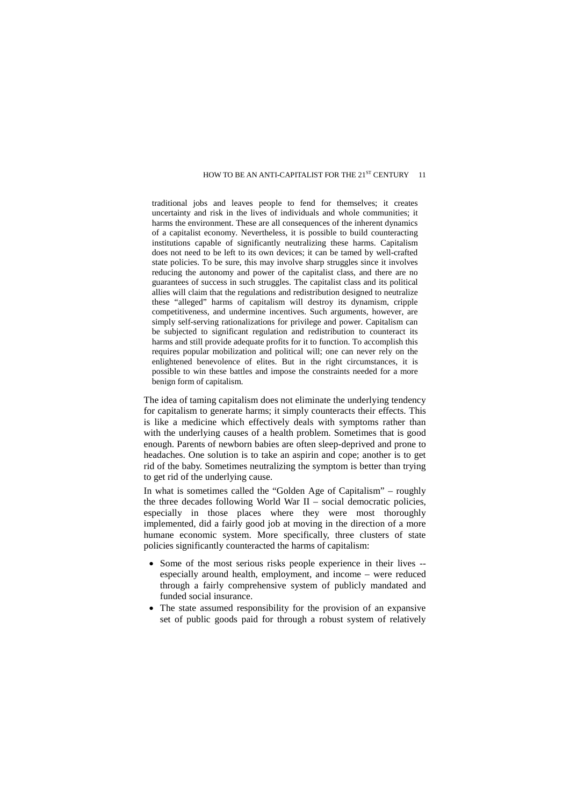traditional jobs and leaves people to fend for themselves; it creates uncertainty and risk in the lives of individuals and whole communities; it harms the environment. These are all consequences of the inherent dynamics of a capitalist economy. Nevertheless, it is possible to build counteracting institutions capable of significantly neutralizing these harms. Capitalism does not need to be left to its own devices; it can be tamed by well-crafted state policies. To be sure, this may involve sharp struggles since it involves reducing the autonomy and power of the capitalist class, and there are no guarantees of success in such struggles. The capitalist class and its political allies will claim that the regulations and redistribution designed to neutralize these "alleged" harms of capitalism will destroy its dynamism, cripple competitiveness, and undermine incentives. Such arguments, however, are simply self-serving rationalizations for privilege and power. Capitalism can be subjected to significant regulation and redistribution to counteract its harms and still provide adequate profits for it to function. To accomplish this requires popular mobilization and political will; one can never rely on the enlightened benevolence of elites. But in the right circumstances, it is possible to win these battles and impose the constraints needed for a more benign form of capitalism.

The idea of taming capitalism does not eliminate the underlying tendency for capitalism to generate harms; it simply counteracts their effects. This is like a medicine which effectively deals with symptoms rather than with the underlying causes of a health problem. Sometimes that is good enough. Parents of newborn babies are often sleep-deprived and prone to headaches. One solution is to take an aspirin and cope; another is to get rid of the baby. Sometimes neutralizing the symptom is better than trying to get rid of the underlying cause.

In what is sometimes called the "Golden Age of Capitalism" – roughly the three decades following World War  $II$  – social democratic policies, especially in those places where they were most thoroughly implemented, did a fairly good job at moving in the direction of a more humane economic system. More specifically, three clusters of state policies significantly counteracted the harms of capitalism:

- Some of the most serious risks people experience in their lives especially around health, employment, and income – were reduced through a fairly comprehensive system of publicly mandated and funded social insurance.
- The state assumed responsibility for the provision of an expansive set of public goods paid for through a robust system of relatively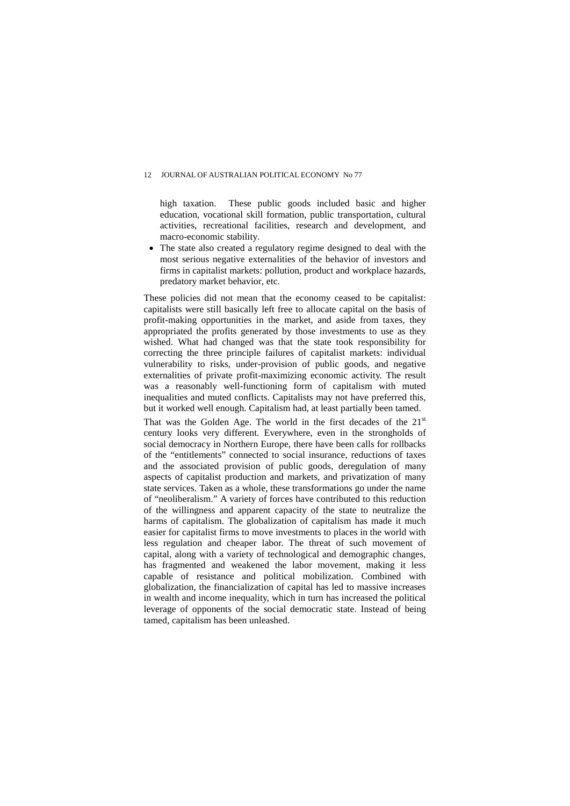high taxation. These public goods included basic and higher education, vocational skill formation, public transportation, cultural activities, recreational facilities, research and development, and macro-economic stability.

• The state also created a regulatory regime designed to deal with the most serious negative externalities of the behavior of investors and firms in capitalist markets: pollution, product and workplace hazards, predatory market behavior, etc.

These policies did not mean that the economy ceased to be capitalist: capitalists were still basically left free to allocate capital on the basis of profit-making opportunities in the market, and aside from taxes, they appropriated the profits generated by those investments to use as they wished. What had changed was that the state took responsibility for correcting the three principle failures of capitalist markets: individual vulnerability to risks, under-provision of public goods, and negative externalities of private profit-maximizing economic activity. The result was a reasonably well-functioning form of capitalism with muted inequalities and muted conflicts. Capitalists may not have preferred this, but it worked well enough. Capitalism had, at least partially been tamed.

That was the Golden Age. The world in the first decades of the  $21<sup>st</sup>$ century looks very different. Everywhere, even in the strongholds of social democracy in Northern Europe, there have been calls for rollbacks of the "entitlements" connected to social insurance, reductions of taxes and the associated provision of public goods, deregulation of many aspects of capitalist production and markets, and privatization of many state services. Taken as a whole, these transformations go under the name of "neoliberalism." A variety of forces have contributed to this reduction of the willingness and apparent capacity of the state to neutralize the harms of capitalism. The globalization of capitalism has made it much easier for capitalist firms to move investments to places in the world with less regulation and cheaper labor. The threat of such movement of capital, along with a variety of technological and demographic changes, has fragmented and weakened the labor movement, making it less capable of resistance and political mobilization. Combined with globalization, the financialization of capital has led to massive increases in wealth and income inequality, which in turn has increased the political leverage of opponents of the social democratic state. Instead of being tamed, capitalism has been unleashed.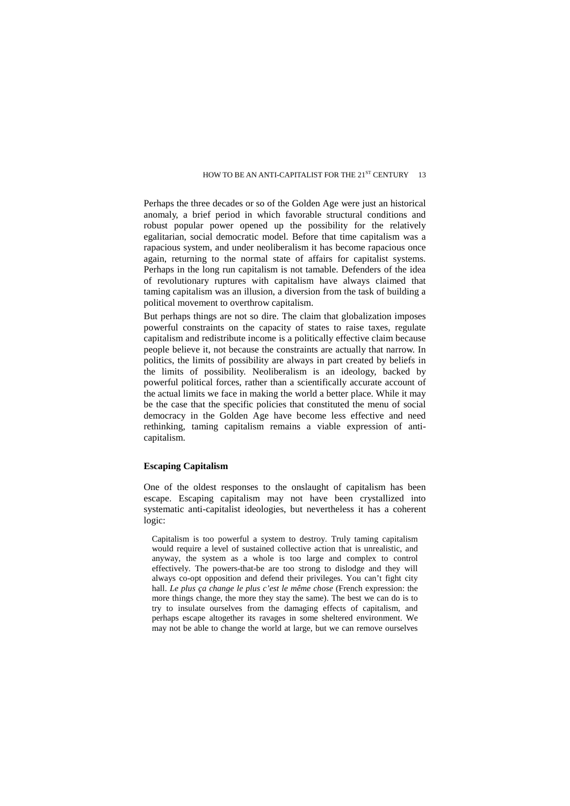Perhaps the three decades or so of the Golden Age were just an historical anomaly, a brief period in which favorable structural conditions and robust popular power opened up the possibility for the relatively egalitarian, social democratic model. Before that time capitalism was a rapacious system, and under neoliberalism it has become rapacious once again, returning to the normal state of affairs for capitalist systems. Perhaps in the long run capitalism is not tamable. Defenders of the idea of revolutionary ruptures with capitalism have always claimed that taming capitalism was an illusion, a diversion from the task of building a political movement to overthrow capitalism.

But perhaps things are not so dire. The claim that globalization imposes powerful constraints on the capacity of states to raise taxes, regulate capitalism and redistribute income is a politically effective claim because people believe it, not because the constraints are actually that narrow. In politics, the limits of possibility are always in part created by beliefs in the limits of possibility. Neoliberalism is an ideology, backed by powerful political forces, rather than a scientifically accurate account of the actual limits we face in making the world a better place. While it may be the case that the specific policies that constituted the menu of social democracy in the Golden Age have become less effective and need rethinking, taming capitalism remains a viable expression of anticapitalism.

#### **Escaping Capitalism**

One of the oldest responses to the onslaught of capitalism has been escape. Escaping capitalism may not have been crystallized into systematic anti-capitalist ideologies, but nevertheless it has a coherent logic:

Capitalism is too powerful a system to destroy. Truly taming capitalism would require a level of sustained collective action that is unrealistic, and anyway, the system as a whole is too large and complex to control effectively. The powers-that-be are too strong to dislodge and they will always co-opt opposition and defend their privileges. You can't fight city hall. *Le plus ça change le plus c'est le même chose* (French expression: the more things change, the more they stay the same). The best we can do is to try to insulate ourselves from the damaging effects of capitalism, and perhaps escape altogether its ravages in some sheltered environment. We may not be able to change the world at large, but we can remove ourselves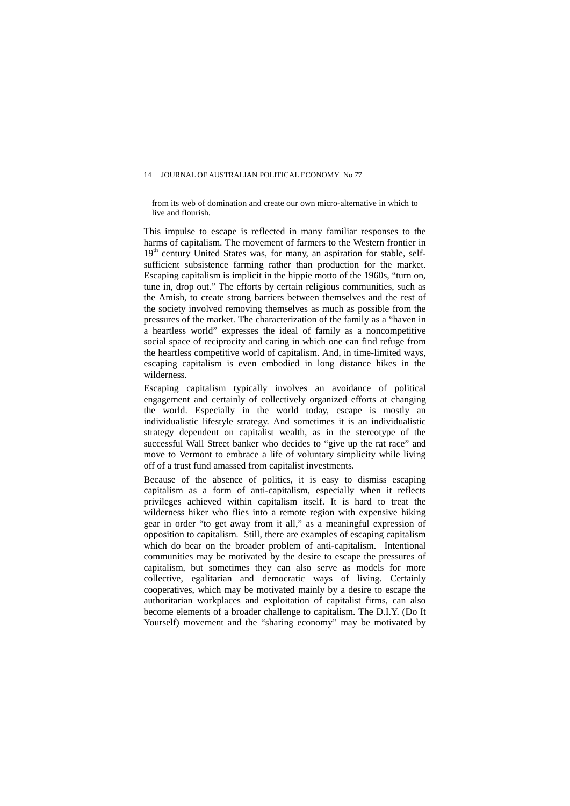from its web of domination and create our own micro-alternative in which to live and flourish.

This impulse to escape is reflected in many familiar responses to the harms of capitalism. The movement of farmers to the Western frontier in 19<sup>th</sup> century United States was, for many, an aspiration for stable, selfsufficient subsistence farming rather than production for the market. Escaping capitalism is implicit in the hippie motto of the 1960s, "turn on, tune in, drop out." The efforts by certain religious communities, such as the Amish, to create strong barriers between themselves and the rest of the society involved removing themselves as much as possible from the pressures of the market. The characterization of the family as a "haven in a heartless world" expresses the ideal of family as a noncompetitive social space of reciprocity and caring in which one can find refuge from the heartless competitive world of capitalism. And, in time-limited ways, escaping capitalism is even embodied in long distance hikes in the wilderness.

Escaping capitalism typically involves an avoidance of political engagement and certainly of collectively organized efforts at changing the world. Especially in the world today, escape is mostly an individualistic lifestyle strategy. And sometimes it is an individualistic strategy dependent on capitalist wealth, as in the stereotype of the successful Wall Street banker who decides to "give up the rat race" and move to Vermont to embrace a life of voluntary simplicity while living off of a trust fund amassed from capitalist investments.

Because of the absence of politics, it is easy to dismiss escaping capitalism as a form of anti-capitalism, especially when it reflects privileges achieved within capitalism itself. It is hard to treat the wilderness hiker who flies into a remote region with expensive hiking gear in order "to get away from it all," as a meaningful expression of opposition to capitalism. Still, there are examples of escaping capitalism which do bear on the broader problem of anti-capitalism. Intentional communities may be motivated by the desire to escape the pressures of capitalism, but sometimes they can also serve as models for more collective, egalitarian and democratic ways of living. Certainly cooperatives, which may be motivated mainly by a desire to escape the authoritarian workplaces and exploitation of capitalist firms, can also become elements of a broader challenge to capitalism. The D.I.Y. (Do It Yourself) movement and the "sharing economy" may be motivated by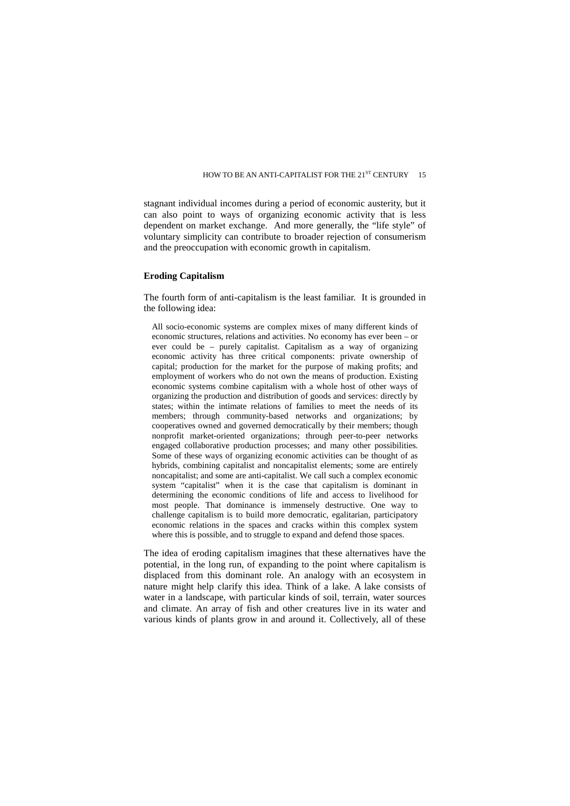stagnant individual incomes during a period of economic austerity, but it can also point to ways of organizing economic activity that is less dependent on market exchange. And more generally, the "life style" of voluntary simplicity can contribute to broader rejection of consumerism and the preoccupation with economic growth in capitalism.

#### **Eroding Capitalism**

The fourth form of anti-capitalism is the least familiar. It is grounded in the following idea:

All socio-economic systems are complex mixes of many different kinds of economic structures, relations and activities. No economy has ever been – or ever could be – purely capitalist. Capitalism as a way of organizing economic activity has three critical components: private ownership of capital; production for the market for the purpose of making profits; and employment of workers who do not own the means of production. Existing economic systems combine capitalism with a whole host of other ways of organizing the production and distribution of goods and services: directly by states; within the intimate relations of families to meet the needs of its members; through community-based networks and organizations; by cooperatives owned and governed democratically by their members; though nonprofit market-oriented organizations; through peer-to-peer networks engaged collaborative production processes; and many other possibilities. Some of these ways of organizing economic activities can be thought of as hybrids, combining capitalist and noncapitalist elements; some are entirely noncapitalist; and some are anti-capitalist. We call such a complex economic system "capitalist" when it is the case that capitalism is dominant in determining the economic conditions of life and access to livelihood for most people. That dominance is immensely destructive. One way to challenge capitalism is to build more democratic, egalitarian, participatory economic relations in the spaces and cracks within this complex system where this is possible, and to struggle to expand and defend those spaces.

The idea of eroding capitalism imagines that these alternatives have the potential, in the long run, of expanding to the point where capitalism is displaced from this dominant role. An analogy with an ecosystem in nature might help clarify this idea. Think of a lake. A lake consists of water in a landscape, with particular kinds of soil, terrain, water sources and climate. An array of fish and other creatures live in its water and various kinds of plants grow in and around it. Collectively, all of these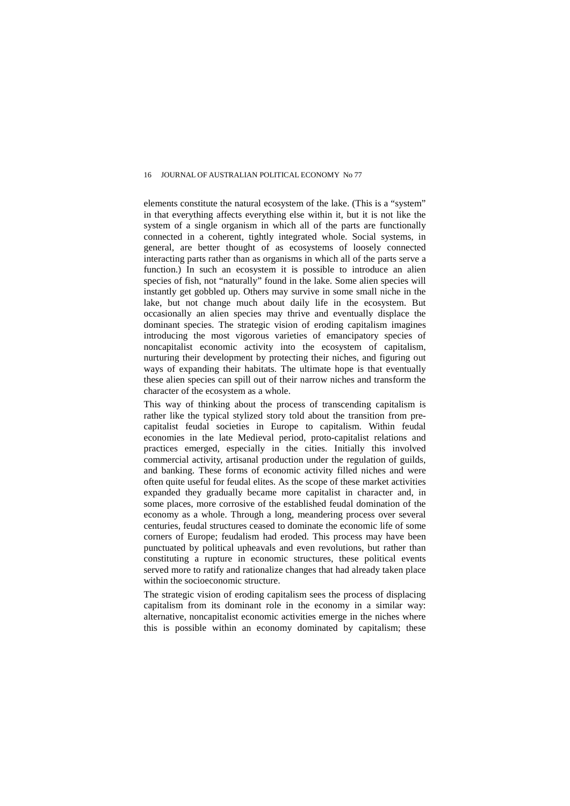elements constitute the natural ecosystem of the lake. (This is a "system" in that everything affects everything else within it, but it is not like the system of a single organism in which all of the parts are functionally connected in a coherent, tightly integrated whole. Social systems, in general, are better thought of as ecosystems of loosely connected interacting parts rather than as organisms in which all of the parts serve a function.) In such an ecosystem it is possible to introduce an alien species of fish, not "naturally" found in the lake. Some alien species will instantly get gobbled up. Others may survive in some small niche in the lake, but not change much about daily life in the ecosystem. But occasionally an alien species may thrive and eventually displace the dominant species. The strategic vision of eroding capitalism imagines introducing the most vigorous varieties of emancipatory species of noncapitalist economic activity into the ecosystem of capitalism, nurturing their development by protecting their niches, and figuring out ways of expanding their habitats. The ultimate hope is that eventually these alien species can spill out of their narrow niches and transform the character of the ecosystem as a whole.

This way of thinking about the process of transcending capitalism is rather like the typical stylized story told about the transition from precapitalist feudal societies in Europe to capitalism. Within feudal economies in the late Medieval period, proto-capitalist relations and practices emerged, especially in the cities. Initially this involved commercial activity, artisanal production under the regulation of guilds, and banking. These forms of economic activity filled niches and were often quite useful for feudal elites. As the scope of these market activities expanded they gradually became more capitalist in character and, in some places, more corrosive of the established feudal domination of the economy as a whole. Through a long, meandering process over several centuries, feudal structures ceased to dominate the economic life of some corners of Europe; feudalism had eroded. This process may have been punctuated by political upheavals and even revolutions, but rather than constituting a rupture in economic structures, these political events served more to ratify and rationalize changes that had already taken place within the socioeconomic structure.

The strategic vision of eroding capitalism sees the process of displacing capitalism from its dominant role in the economy in a similar way: alternative, noncapitalist economic activities emerge in the niches where this is possible within an economy dominated by capitalism; these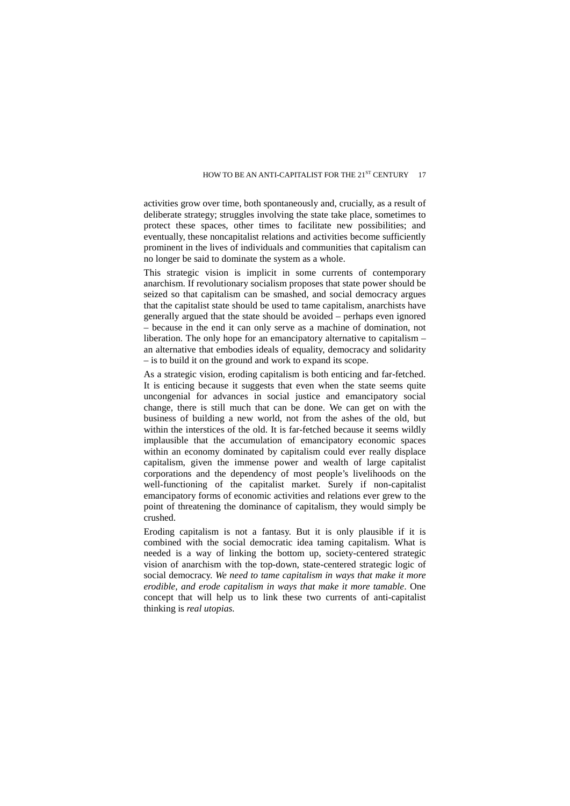activities grow over time, both spontaneously and, crucially, as a result of deliberate strategy; struggles involving the state take place, sometimes to protect these spaces, other times to facilitate new possibilities; and eventually, these noncapitalist relations and activities become sufficiently prominent in the lives of individuals and communities that capitalism can no longer be said to dominate the system as a whole.

This strategic vision is implicit in some currents of contemporary anarchism. If revolutionary socialism proposes that state power should be seized so that capitalism can be smashed, and social democracy argues that the capitalist state should be used to tame capitalism, anarchists have generally argued that the state should be avoided – perhaps even ignored – because in the end it can only serve as a machine of domination, not liberation. The only hope for an emancipatory alternative to capitalism – an alternative that embodies ideals of equality, democracy and solidarity – is to build it on the ground and work to expand its scope.

As a strategic vision, eroding capitalism is both enticing and far-fetched. It is enticing because it suggests that even when the state seems quite uncongenial for advances in social justice and emancipatory social change, there is still much that can be done. We can get on with the business of building a new world, not from the ashes of the old, but within the interstices of the old. It is far-fetched because it seems wildly implausible that the accumulation of emancipatory economic spaces within an economy dominated by capitalism could ever really displace capitalism, given the immense power and wealth of large capitalist corporations and the dependency of most people's livelihoods on the well-functioning of the capitalist market. Surely if non-capitalist emancipatory forms of economic activities and relations ever grew to the point of threatening the dominance of capitalism, they would simply be crushed.

Eroding capitalism is not a fantasy. But it is only plausible if it is combined with the social democratic idea taming capitalism. What is needed is a way of linking the bottom up, society-centered strategic vision of anarchism with the top-down, state-centered strategic logic of social democracy. *We need to tame capitalism in ways that make it more erodible, and erode capitalism in ways that make it more tamable*. One concept that will help us to link these two currents of anti-capitalist thinking is *real utopias.*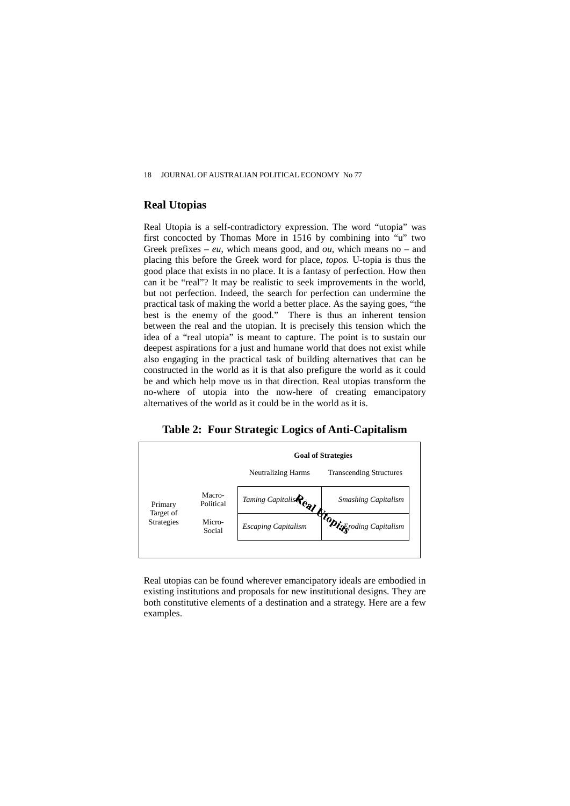# **Real Utopias**

Real Utopia is a self-contradictory expression. The word "utopia" was first concocted by Thomas More in 1516 by combining into "u" two Greek prefixes – *eu*, which means good, and *ou*, which means no – and placing this before the Greek word for place, *topos.* U-topia is thus the good place that exists in no place. It is a fantasy of perfection. How then can it be "real"? It may be realistic to seek improvements in the world, but not perfection. Indeed, the search for perfection can undermine the practical task of making the world a better place. As the saying goes, "the best is the enemy of the good." There is thus an inherent tension between the real and the utopian. It is precisely this tension which the idea of a "real utopia" is meant to capture. The point is to sustain our deepest aspirations for a just and humane world that does not exist while also engaging in the practical task of building alternatives that can be constructed in the world as it is that also prefigure the world as it could be and which help move us in that direction. Real utopias transform the no-where of utopia into the now-here of creating emancipatory alternatives of the world as it could be in the world as it is.



**Table 2: Four Strategic Logics of Anti-Capitalism** 

Real utopias can be found wherever emancipatory ideals are embodied in existing institutions and proposals for new institutional designs. They are both constitutive elements of a destination and a strategy. Here are a few examples.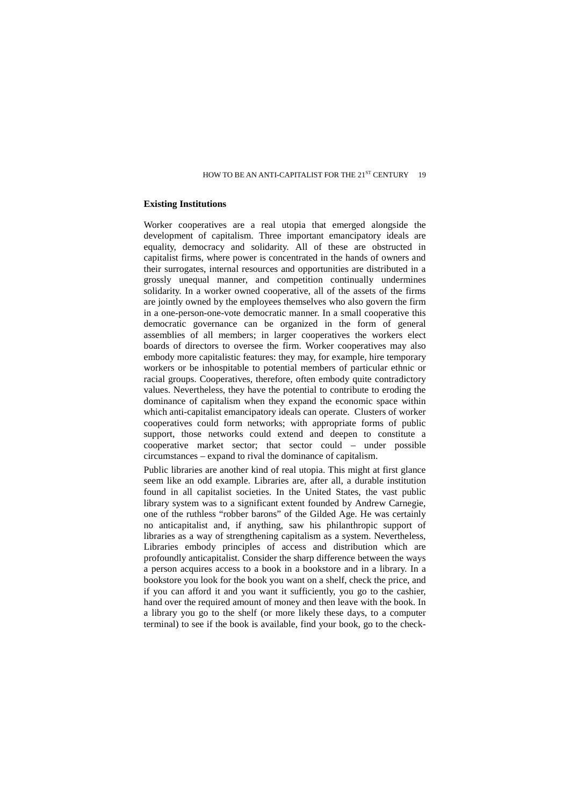# **Existing Institutions**

Worker cooperatives are a real utopia that emerged alongside the development of capitalism. Three important emancipatory ideals are equality, democracy and solidarity. All of these are obstructed in capitalist firms, where power is concentrated in the hands of owners and their surrogates, internal resources and opportunities are distributed in a grossly unequal manner, and competition continually undermines solidarity. In a worker owned cooperative, all of the assets of the firms are jointly owned by the employees themselves who also govern the firm in a one-person-one-vote democratic manner. In a small cooperative this democratic governance can be organized in the form of general assemblies of all members; in larger cooperatives the workers elect boards of directors to oversee the firm. Worker cooperatives may also embody more capitalistic features: they may, for example, hire temporary workers or be inhospitable to potential members of particular ethnic or racial groups. Cooperatives, therefore, often embody quite contradictory values. Nevertheless, they have the potential to contribute to eroding the dominance of capitalism when they expand the economic space within which anti-capitalist emancipatory ideals can operate. Clusters of worker cooperatives could form networks; with appropriate forms of public support, those networks could extend and deepen to constitute a cooperative market sector; that sector could – under possible circumstances – expand to rival the dominance of capitalism.

Public libraries are another kind of real utopia. This might at first glance seem like an odd example. Libraries are, after all, a durable institution found in all capitalist societies. In the United States, the vast public library system was to a significant extent founded by Andrew Carnegie, one of the ruthless "robber barons" of the Gilded Age. He was certainly no anticapitalist and, if anything, saw his philanthropic support of libraries as a way of strengthening capitalism as a system. Nevertheless, Libraries embody principles of access and distribution which are profoundly anticapitalist. Consider the sharp difference between the ways a person acquires access to a book in a bookstore and in a library. In a bookstore you look for the book you want on a shelf, check the price, and if you can afford it and you want it sufficiently, you go to the cashier, hand over the required amount of money and then leave with the book. In a library you go to the shelf (or more likely these days, to a computer terminal) to see if the book is available, find your book, go to the check-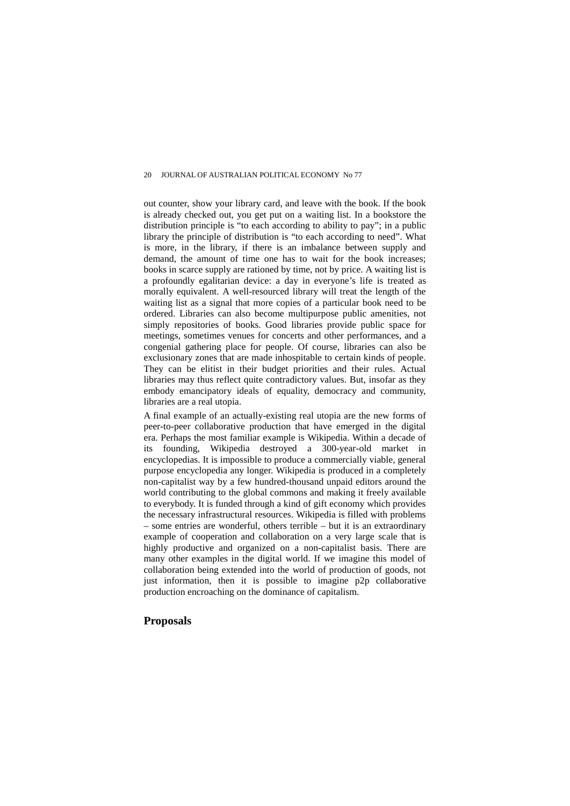out counter, show your library card, and leave with the book. If the book is already checked out, you get put on a waiting list. In a bookstore the distribution principle is "to each according to ability to pay"; in a public library the principle of distribution is "to each according to need". What is more, in the library, if there is an imbalance between supply and demand, the amount of time one has to wait for the book increases; books in scarce supply are rationed by time, not by price. A waiting list is a profoundly egalitarian device: a day in everyone's life is treated as morally equivalent. A well-resourced library will treat the length of the waiting list as a signal that more copies of a particular book need to be ordered. Libraries can also become multipurpose public amenities, not simply repositories of books. Good libraries provide public space for meetings, sometimes venues for concerts and other performances, and a congenial gathering place for people. Of course, libraries can also be exclusionary zones that are made inhospitable to certain kinds of people. They can be elitist in their budget priorities and their rules. Actual libraries may thus reflect quite contradictory values. But, insofar as they embody emancipatory ideals of equality, democracy and community, libraries are a real utopia.

A final example of an actually-existing real utopia are the new forms of peer-to-peer collaborative production that have emerged in the digital era. Perhaps the most familiar example is Wikipedia. Within a decade of its founding, Wikipedia destroyed a 300-year-old market in encyclopedias. It is impossible to produce a commercially viable, general purpose encyclopedia any longer. Wikipedia is produced in a completely non-capitalist way by a few hundred-thousand unpaid editors around the world contributing to the global commons and making it freely available to everybody. It is funded through a kind of gift economy which provides the necessary infrastructural resources. Wikipedia is filled with problems – some entries are wonderful, others terrible – but it is an extraordinary example of cooperation and collaboration on a very large scale that is highly productive and organized on a non-capitalist basis. There are many other examples in the digital world. If we imagine this model of collaboration being extended into the world of production of goods, not just information, then it is possible to imagine p2p collaborative production encroaching on the dominance of capitalism.

# **Proposals**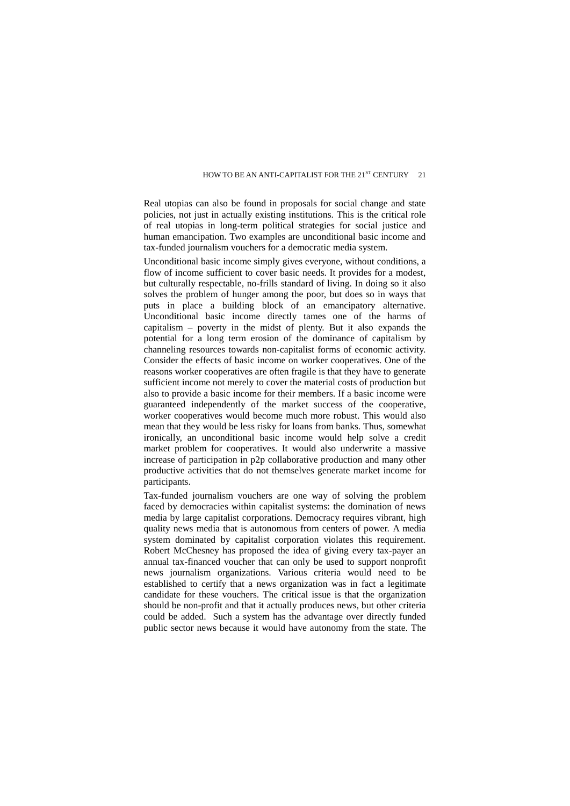Real utopias can also be found in proposals for social change and state policies, not just in actually existing institutions. This is the critical role of real utopias in long-term political strategies for social justice and human emancipation. Two examples are unconditional basic income and tax-funded journalism vouchers for a democratic media system.

Unconditional basic income simply gives everyone, without conditions, a flow of income sufficient to cover basic needs. It provides for a modest, but culturally respectable, no-frills standard of living. In doing so it also solves the problem of hunger among the poor, but does so in ways that puts in place a building block of an emancipatory alternative. Unconditional basic income directly tames one of the harms of capitalism – poverty in the midst of plenty. But it also expands the potential for a long term erosion of the dominance of capitalism by channeling resources towards non-capitalist forms of economic activity. Consider the effects of basic income on worker cooperatives. One of the reasons worker cooperatives are often fragile is that they have to generate sufficient income not merely to cover the material costs of production but also to provide a basic income for their members. If a basic income were guaranteed independently of the market success of the cooperative, worker cooperatives would become much more robust. This would also mean that they would be less risky for loans from banks. Thus, somewhat ironically, an unconditional basic income would help solve a credit market problem for cooperatives. It would also underwrite a massive increase of participation in p2p collaborative production and many other productive activities that do not themselves generate market income for participants.

Tax-funded journalism vouchers are one way of solving the problem faced by democracies within capitalist systems: the domination of news media by large capitalist corporations. Democracy requires vibrant, high quality news media that is autonomous from centers of power. A media system dominated by capitalist corporation violates this requirement. Robert McChesney has proposed the idea of giving every tax-payer an annual tax-financed voucher that can only be used to support nonprofit news journalism organizations. Various criteria would need to be established to certify that a news organization was in fact a legitimate candidate for these vouchers. The critical issue is that the organization should be non-profit and that it actually produces news, but other criteria could be added. Such a system has the advantage over directly funded public sector news because it would have autonomy from the state. The